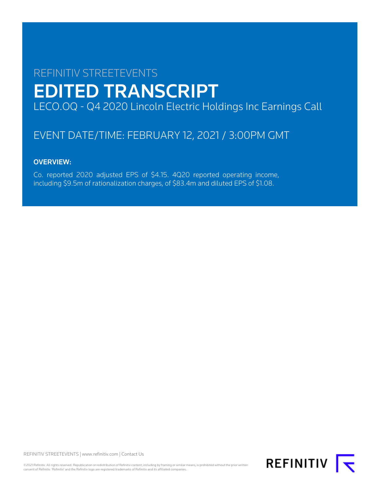# REFINITIV STREETEVENTS EDITED TRANSCRIPT LECO.OQ - Q4 2020 Lincoln Electric Holdings Inc Earnings Call

## EVENT DATE/TIME: FEBRUARY 12, 2021 / 3:00PM GMT

## OVERVIEW:

Co. reported 2020 adjusted EPS of \$4.15. 4Q20 reported operating income, including \$9.5m of rationalization charges, of \$83.4m and diluted EPS of \$1.08.

REFINITIV STREETEVENTS | [www.refinitiv.com](https://www.refinitiv.com/) | [Contact Us](https://www.refinitiv.com/en/contact-us)

©2021 Refinitiv. All rights reserved. Republication or redistribution of Refinitiv content, including by framing or similar means, is prohibited without the prior written consent of Refinitiv. 'Refinitiv' and the Refinitiv logo are registered trademarks of Refinitiv and its affiliated companies.

**REFINITIV**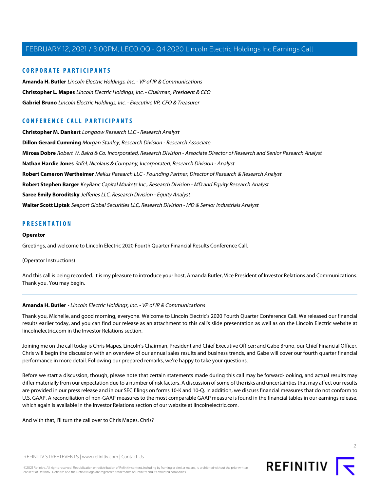#### **CORPORATE PARTICIPANTS**

**[Amanda H. Butler](#page-1-0)** Lincoln Electric Holdings, Inc. - VP of IR & Communications **[Christopher L. Mapes](#page-2-0)** Lincoln Electric Holdings, Inc. - Chairman, President & CEO **[Gabriel Bruno](#page-3-0)** Lincoln Electric Holdings, Inc. - Executive VP, CFO & Treasurer

### **CONFERENCE CALL PARTICIPANTS**

**[Christopher M. Dankert](#page-7-0)** Longbow Research LLC - Research Analyst **[Dillon Gerard Cumming](#page-10-0)** Morgan Stanley, Research Division - Research Associate **[Mircea Dobre](#page-8-0)** Robert W. Baird & Co. Incorporated, Research Division - Associate Director of Research and Senior Research Analyst **[Nathan Hardie Jones](#page-6-0)** Stifel, Nicolaus & Company, Incorporated, Research Division - Analyst **[Robert Cameron Wertheimer](#page-5-0)** Melius Research LLC - Founding Partner, Director of Research & Research Analyst **[Robert Stephen Barger](#page-12-0)** KeyBanc Capital Markets Inc., Research Division - MD and Equity Research Analyst **[Saree Emily Boroditsky](#page-4-0)** Jefferies LLC, Research Division - Equity Analyst **[Walter Scott Liptak](#page-11-0)** Seaport Global Securities LLC, Research Division - MD & Senior Industrials Analyst

#### **PRESENTATION**

#### **Operator**

Greetings, and welcome to Lincoln Electric 2020 Fourth Quarter Financial Results Conference Call.

#### (Operator Instructions)

<span id="page-1-0"></span>And this call is being recorded. It is my pleasure to introduce your host, Amanda Butler, Vice President of Investor Relations and Communications. Thank you. You may begin.

#### **Amanda H. Butler** - Lincoln Electric Holdings, Inc. - VP of IR & Communications

Thank you, Michelle, and good morning, everyone. Welcome to Lincoln Electric's 2020 Fourth Quarter Conference Call. We released our financial results earlier today, and you can find our release as an attachment to this call's slide presentation as well as on the Lincoln Electric website at lincolnelectric.com in the Investor Relations section.

Joining me on the call today is Chris Mapes, Lincoln's Chairman, President and Chief Executive Officer; and Gabe Bruno, our Chief Financial Officer. Chris will begin the discussion with an overview of our annual sales results and business trends, and Gabe will cover our fourth quarter financial performance in more detail. Following our prepared remarks, we're happy to take your questions.

Before we start a discussion, though, please note that certain statements made during this call may be forward-looking, and actual results may differ materially from our expectation due to a number of risk factors. A discussion of some of the risks and uncertainties that may affect our results are provided in our press release and in our SEC filings on forms 10-K and 10-Q. In addition, we discuss financial measures that do not conform to U.S. GAAP. A reconciliation of non-GAAP measures to the most comparable GAAP measure is found in the financial tables in our earnings release, which again is available in the Investor Relations section of our website at lincolnelectric.com.

And with that, I'll turn the call over to Chris Mapes. Chris?

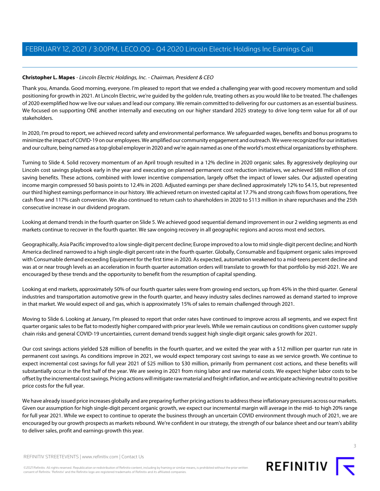#### <span id="page-2-0"></span>**Christopher L. Mapes** - Lincoln Electric Holdings, Inc. - Chairman, President & CEO

Thank you, Amanda. Good morning, everyone. I'm pleased to report that we ended a challenging year with good recovery momentum and solid positioning for growth in 2021. At Lincoln Electric, we're guided by the golden rule, treating others as you would like to be treated. The challenges of 2020 exemplified how we live our values and lead our company. We remain committed to delivering for our customers as an essential business. We focused on supporting ONE another internally and executing on our higher standard 2025 strategy to drive long-term value for all of our stakeholders.

In 2020, I'm proud to report, we achieved record safety and environmental performance. We safeguarded wages, benefits and bonus programs to minimize the impact of COVID-19 on our employees. We amplified our community engagement and outreach. We were recognized for our initiatives and our culture, being named as a top global employer in 2020 and we're again named as one of the world's most ethical organizations by ethisphere.

Turning to Slide 4. Solid recovery momentum of an April trough resulted in a 12% decline in 2020 organic sales. By aggressively deploying our Lincoln cost savings playbook early in the year and executing on planned permanent cost reduction initiatives, we achieved \$88 million of cost saving benefits. These actions, combined with lower incentive compensation, largely offset the impact of lower sales. Our adjusted operating income margin compressed 50 basis points to 12.4% in 2020. Adjusted earnings per share declined approximately 12% to \$4.15, but represented our third highest earnings performance in our history. We achieved return on invested capital at 17.7% and strong cash flows from operations, free cash flow and 117% cash conversion. We also continued to return cash to shareholders in 2020 to \$113 million in share repurchases and the 25th consecutive increase in our dividend program.

Looking at demand trends in the fourth quarter on Slide 5. We achieved good sequential demand improvement in our 2 welding segments as end markets continue to recover in the fourth quarter. We saw ongoing recovery in all geographic regions and across most end sectors.

Geographically, Asia Pacific improved to a low single-digit percent decline; Europe improved to a low to mid single-digit percent decline; and North America declined narrowed to a high single-digit percent rate in the fourth quarter. Globally, Consumable and Equipment organic sales improved with Consumable demand exceeding Equipment for the first time in 2020. As expected, automation weakened to a mid-teens percent decline and was at or near trough levels as an acceleration in fourth quarter automation orders will translate to growth for that portfolio by mid-2021. We are encouraged by these trends and the opportunity to benefit from the resumption of capital spending.

Looking at end markets, approximately 50% of our fourth quarter sales were from growing end sectors, up from 45% in the third quarter. General industries and transportation automotive grew in the fourth quarter, and heavy industry sales declines narrowed as demand started to improve in that market. We would expect oil and gas, which is approximately 15% of sales to remain challenged through 2021.

Moving to Slide 6. Looking at January, I'm pleased to report that order rates have continued to improve across all segments, and we expect first quarter organic sales to be flat to modestly higher compared with prior year levels. While we remain cautious on conditions given customer supply chain risks and general COVID-19 uncertainties, current demand trends suggest high single-digit organic sales growth for 2021.

Our cost savings actions yielded \$28 million of benefits in the fourth quarter, and we exited the year with a \$12 million per quarter run rate in permanent cost savings. As conditions improve in 2021, we would expect temporary cost savings to ease as we service growth. We continue to expect incremental cost savings for full year 2021 of \$25 million to \$30 million, primarily from permanent cost actions, and these benefits will substantially occur in the first half of the year. We are seeing in 2021 from rising labor and raw material costs. We expect higher labor costs to be offset by the incremental cost savings. Pricing actions will mitigate raw material and freight inflation, and we anticipate achieving neutral to positive price costs for the full year.

We have already issued price increases globally and are preparing further pricing actions to address these inflationary pressures across our markets. Given our assumption for high single-digit percent organic growth, we expect our incremental margin will average in the mid- to high 20% range for full year 2021. While we expect to continue to operate the business through an uncertain COVID environment through much of 2021, we are encouraged by our growth prospects as markets rebound. We're confident in our strategy, the strength of our balance sheet and our team's ability to deliver sales, profit and earnings growth this year.



©2021 Refinitiv. All rights reserved. Republication or redistribution of Refinitiv content, including by framing or similar means, is prohibited without the prior written consent of Refinitiv. 'Refinitiv' and the Refinitiv logo are registered trademarks of Refinitiv and its affiliated companies.

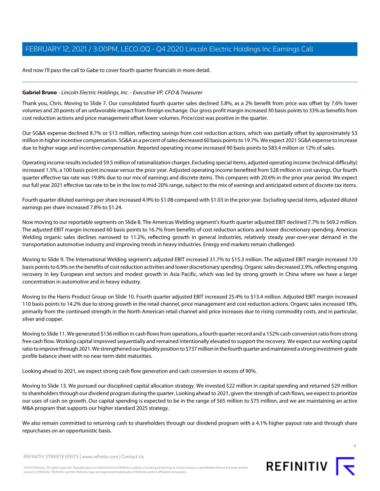And now I'll pass the call to Gabe to cover fourth quarter financials in more detail.

#### <span id="page-3-0"></span>**Gabriel Bruno** - Lincoln Electric Holdings, Inc. - Executive VP, CFO & Treasurer

Thank you, Chris. Moving to Slide 7. Our consolidated fourth quarter sales declined 5.8%, as a 2% benefit from price was offset by 7.6% lower volumes and 20 points of an unfavorable impact from foreign exchange. Our gross profit margin increased 30 basis points to 33% as benefits from cost reduction actions and price management offset lower volumes. Price/cost was positive in the quarter.

Our SG&A expense declined 8.7% or \$13 million, reflecting savings from cost reduction actions, which was partially offset by approximately \$3 million in higher incentive compensation. SG&A as a percent of sales decreased 60 basis points to 19.7%. We expect 2021 SG&A expense to increase due to higher wage and incentive compensation. Reported operating income increased 90 basis points to \$83.4 million or 12% of sales.

Operating income results included \$9.5 million of rationalization charges. Excluding special items, adjusted operating income (technical difficulty) increased 1.5%, a 100 basis point increase versus the prior year. Adjusted operating income benefited from \$28 million in cost savings. Our fourth quarter effective tax rate was 19.8% due to our mix of earnings and discrete items. This compares with 20.6% in the prior year period. We expect our full year 2021 effective tax rate to be in the low to mid-20% range, subject to the mix of earnings and anticipated extent of discrete tax items.

Fourth quarter diluted earnings per share increased 4.9% to \$1.08 compared with \$1.03 in the prior year. Excluding special items, adjusted diluted earnings per share increased 7.8% to \$1.24.

Now moving to our reportable segments on Slide 8. The Americas Welding segment's fourth quarter adjusted EBIT declined 7.7% to \$69.2 million. The adjusted EBIT margin increased 60 basis points to 16.7% from benefits of cost reduction actions and lower discretionary spending. Americas Welding organic sales declines narrowed to 11.2%, reflecting growth in general industries, relatively steady year-over-year demand in the transportation automotive industry and improving trends in heavy industries. Energy end markets remain challenged.

Moving to Slide 9. The International Welding segment's adjusted EBIT increased 31.7% to \$15.3 million. The adjusted EBIT margin increased 170 basis points to 6.9% on the benefits of cost reduction activities and lower discretionary spending. Organic sales decreased 2.9%, reflecting ongoing recovery in key European end sectors and modest growth in Asia Pacific, which was led by strong growth in China where we have a larger concentration in automotive and in heavy industry.

Moving to the Harris Product Group on Slide 10. Fourth quarter adjusted EBIT increased 25.4% to \$13.4 million. Adjusted EBIT margin increased 110 basis points to 14.2% due to strong growth in the retail channel, price management and cost reduction actions. Organic sales increased 18%, primarily from the continued strength in the North American retail channel and price increases due to rising commodity costs, and in particular, silver and copper.

Moving to Slide 11. We generated \$136 million in cash flows from operations, a fourth quarter record and a 152% cash conversion ratio from strong free cash flow. Working capital improved sequentially and remained intentionally elevated to support the recovery. We expect our working capital ratio to improve through 2021. We strengthened our liquidity position to \$737 million in the fourth quarter and maintained a strong investment-grade profile balance sheet with no near-term debt maturities.

Looking ahead to 2021, we expect strong cash flow generation and cash conversion in excess of 90%.

Moving to Slide 13. We pursued our disciplined capital allocation strategy. We invested \$22 million in capital spending and returned \$29 million to shareholders through our dividend program during the quarter. Looking ahead to 2021, given the strength of cash flows, we expect to prioritize our uses of cash on growth. Our capital spending is expected to be in the range of \$65 million to \$75 million, and we are maintaining an active M&A program that supports our higher standard 2025 strategy.

We also remain committed to returning cash to shareholders through our dividend program with a 4.1% higher payout rate and through share repurchases on an opportunistic basis.



REFINITIV STREETEVENTS | [www.refinitiv.com](https://www.refinitiv.com/) | [Contact Us](https://www.refinitiv.com/en/contact-us)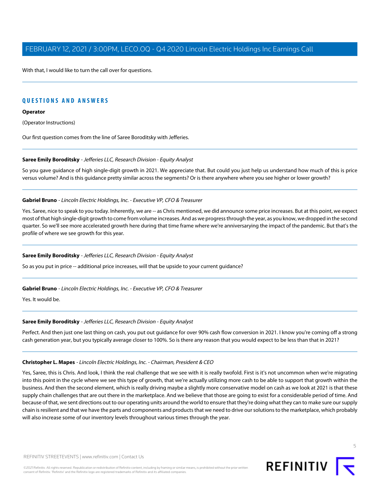With that, I would like to turn the call over for questions.

## **QUESTIONS AND ANSWERS**

#### **Operator**

(Operator Instructions)

<span id="page-4-0"></span>Our first question comes from the line of Saree Boroditsky with Jefferies.

#### **Saree Emily Boroditsky** - Jefferies LLC, Research Division - Equity Analyst

So you gave guidance of high single-digit growth in 2021. We appreciate that. But could you just help us understand how much of this is price versus volume? And is this guidance pretty similar across the segments? Or is there anywhere where you see higher or lower growth?

#### **Gabriel Bruno** - Lincoln Electric Holdings, Inc. - Executive VP, CFO & Treasurer

Yes. Saree, nice to speak to you today. Inherently, we are -- as Chris mentioned, we did announce some price increases. But at this point, we expect most of that high single-digit growth to come from volume increases. And as we progress through the year, as you know, we dropped in the second quarter. So we'll see more accelerated growth here during that time frame where we're anniversarying the impact of the pandemic. But that's the profile of where we see growth for this year.

#### **Saree Emily Boroditsky** - Jefferies LLC, Research Division - Equity Analyst

So as you put in price -- additional price increases, will that be upside to your current guidance?

#### **Gabriel Bruno** - Lincoln Electric Holdings, Inc. - Executive VP, CFO & Treasurer

Yes. It would be.

#### **Saree Emily Boroditsky** - Jefferies LLC, Research Division - Equity Analyst

Perfect. And then just one last thing on cash, you put out guidance for over 90% cash flow conversion in 2021. I know you're coming off a strong cash generation year, but you typically average closer to 100%. So is there any reason that you would expect to be less than that in 2021?

#### **Christopher L. Mapes** - Lincoln Electric Holdings, Inc. - Chairman, President & CEO

Yes, Saree, this is Chris. And look, I think the real challenge that we see with it is really twofold. First is it's not uncommon when we're migrating into this point in the cycle where we see this type of growth, that we're actually utilizing more cash to be able to support that growth within the business. And then the second element, which is really driving maybe a slightly more conservative model on cash as we look at 2021 is that these supply chain challenges that are out there in the marketplace. And we believe that those are going to exist for a considerable period of time. And because of that, we sent directions out to our operating units around the world to ensure that they're doing what they can to make sure our supply chain is resilient and that we have the parts and components and products that we need to drive our solutions to the marketplace, which probably will also increase some of our inventory levels throughout various times through the year.

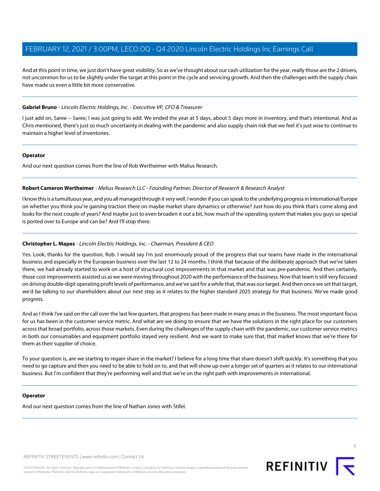And at this point in time, we just don't have great visibility. So as we've thought about our cash utilization for the year, really those are the 2 drivers, not uncommon for us to be slightly under the target at this point in the cycle and servicing growth. And then the challenges with the supply chain have made us even a little bit more conservative.

#### **Gabriel Bruno** - Lincoln Electric Holdings, Inc. - Executive VP, CFO & Treasurer

I just add on, Saree -- Saree, I was just going to add. We ended the year at 5 days, about 5 days more in inventory, and that's intentional. And as Chris mentioned, there's just so much uncertainty in dealing with the pandemic and also supply chain risk that we feel it's just wise to continue to maintain a higher level of inventories.

#### **Operator**

<span id="page-5-0"></span>And our next question comes from the line of Rob Wertheimer with Malius Research.

#### **Robert Cameron Wertheimer** - Melius Research LLC - Founding Partner, Director of Research & Research Analyst

I know this is a tumultuous year, and you all managed through it very well. I wonder if you can speak to the underlying progress in International/Europe on whether you think you're gaining traction there on maybe market share dynamics or otherwise? Just how do you think that's come along and looks for the next couple of years? And maybe just to even broaden it out a bit, how much of the operating system that makes you guys so special is ported over to Europe and can be? And I'll stop there.

#### **Christopher L. Mapes** - Lincoln Electric Holdings, Inc. - Chairman, President & CEO

Yes. Look, thanks for the question, Rob. I would say I'm just enormously proud of the progress that our teams have made in the international business and especially in the European business over the last 12 to 24 months. I think that because of the deliberate approach that we've taken there, we had already started to work on a host of structural cost improvements in that market and that was pre-pandemic. And then certainly, those cost improvements assisted us as we were moving throughout 2020 with the performance of the business. Now that team is still very focused on driving double-digit operating profit levels of performance, and we've said for a while that, that was our target. And then once we set that target, we'd be talking to our shareholders about our next step as it relates to the higher standard 2025 strategy for that business. We've made good progress.

And as I think I've said on the call over the last few quarters, that progress has been made in many areas in the business. The most important focus for us has been in the customer service metric. And what are we doing to ensure that we have the solutions in the right place for our customers across that broad portfolio, across those markets. Even during the challenges of the supply chain with the pandemic, our customer service metrics in both our consumables and equipment portfolio stayed very resilient. And we want to make sure that, that market knows that we're there for them as their supplier of choice.

To your question is, are we starting to regain share in the market? I believe for a long time that share doesn't shift quickly. It's something that you need to go capture and then you need to be able to hold on to, and that will show up over a longer set of quarters as it relates to our international business. But I'm confident that they're performing well and that we're on the right path with improvements in international.

#### **Operator**

And our next question comes from the line of Nathan Jones with Stifel.

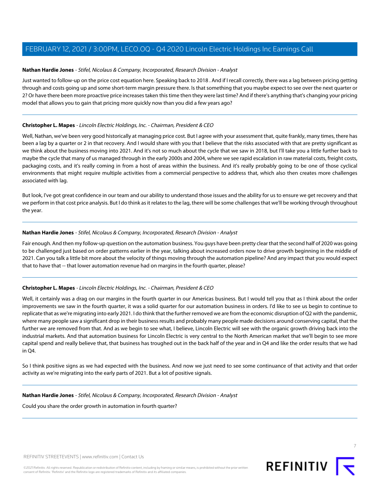#### <span id="page-6-0"></span>**Nathan Hardie Jones** - Stifel, Nicolaus & Company, Incorporated, Research Division - Analyst

Just wanted to follow-up on the price cost equation here. Speaking back to 2018 . And if I recall correctly, there was a lag between pricing getting through and costs going up and some short-term margin pressure there. Is that something that you maybe expect to see over the next quarter or 2? Or have there been more proactive price increases taken this time then they were last time? And if there's anything that's changing your pricing model that allows you to gain that pricing more quickly now than you did a few years ago?

#### **Christopher L. Mapes** - Lincoln Electric Holdings, Inc. - Chairman, President & CEO

Well, Nathan, we've been very good historically at managing price cost. But I agree with your assessment that, quite frankly, many times, there has been a lag by a quarter or 2 in that recovery. And I would share with you that I believe that the risks associated with that are pretty significant as we think about the business moving into 2021. And it's not so much about the cycle that we saw in 2018, but I'll take you a little further back to maybe the cycle that many of us managed through in the early 2000s and 2004, where we see rapid escalation in raw material costs, freight costs, packaging costs, and it's really coming in from a host of areas within the business. And it's really probably going to be one of those cyclical environments that might require multiple activities from a commercial perspective to address that, which also then creates more challenges associated with lag.

But look, I've got great confidence in our team and our ability to understand those issues and the ability for us to ensure we get recovery and that we perform in that cost price analysis. But I do think as it relates to the lag, there will be some challenges that we'll be working through throughout the year.

#### **Nathan Hardie Jones** - Stifel, Nicolaus & Company, Incorporated, Research Division - Analyst

Fair enough. And then my follow-up question on the automation business. You guys have been pretty clear that the second half of 2020 was going to be challenged just based on order patterns earlier in the year, talking about increased orders now to drive growth beginning in the middle of 2021. Can you talk a little bit more about the velocity of things moving through the automation pipeline? And any impact that you would expect that to have that -- that lower automation revenue had on margins in the fourth quarter, please?

#### **Christopher L. Mapes** - Lincoln Electric Holdings, Inc. - Chairman, President & CEO

Well, it certainly was a drag on our margins in the fourth quarter in our Americas business. But I would tell you that as I think about the order improvements we saw in the fourth quarter, it was a solid quarter for our automation business in orders. I'd like to see us begin to continue to replicate that as we're migrating into early 2021. I do think that the further removed we are from the economic disruption of Q2 with the pandemic, where many people saw a significant drop in their business results and probably many people made decisions around conserving capital, that the further we are removed from that. And as we begin to see what, I believe, Lincoln Electric will see with the organic growth driving back into the industrial markets. And that automation business for Lincoln Electric is very central to the North American market that we'll begin to see more capital spend and really believe that, that business has troughed out in the back half of the year and in Q4 and like the order results that we had in Q4.

So I think positive signs as we had expected with the business. And now we just need to see some continuance of that activity and that order activity as we're migrating into the early parts of 2021. But a lot of positive signals.

#### **Nathan Hardie Jones** - Stifel, Nicolaus & Company, Incorporated, Research Division - Analyst

Could you share the order growth in automation in fourth quarter?

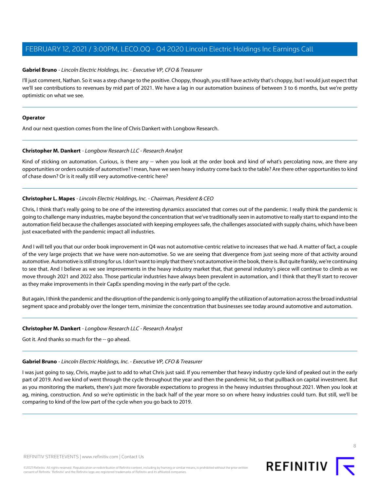#### **Gabriel Bruno** - Lincoln Electric Holdings, Inc. - Executive VP, CFO & Treasurer

I'll just comment, Nathan. So it was a step change to the positive. Choppy, though, you still have activity that's choppy, but I would just expect that we'll see contributions to revenues by mid part of 2021. We have a lag in our automation business of between 3 to 6 months, but we're pretty optimistic on what we see.

#### **Operator**

<span id="page-7-0"></span>And our next question comes from the line of Chris Dankert with Longbow Research.

#### **Christopher M. Dankert** - Longbow Research LLC - Research Analyst

Kind of sticking on automation. Curious, is there any -- when you look at the order book and kind of what's percolating now, are there any opportunities or orders outside of automotive? I mean, have we seen heavy industry come back to the table? Are there other opportunities to kind of chase down? Or is it really still very automotive-centric here?

#### **Christopher L. Mapes** - Lincoln Electric Holdings, Inc. - Chairman, President & CEO

Chris, I think that's really going to be one of the interesting dynamics associated that comes out of the pandemic. I really think the pandemic is going to challenge many industries, maybe beyond the concentration that we've traditionally seen in automotive to really start to expand into the automation field because the challenges associated with keeping employees safe, the challenges associated with supply chains, which have been just exacerbated with the pandemic impact all industries.

And I will tell you that our order book improvement in Q4 was not automotive-centric relative to increases that we had. A matter of fact, a couple of the very large projects that we have were non-automotive. So we are seeing that divergence from just seeing more of that activity around automotive. Automotive is still strong for us. I don't want to imply that there's not automotive in the book, there is. But quite frankly, we're continuing to see that. And I believe as we see improvements in the heavy industry market that, that general industry's piece will continue to climb as we move through 2021 and 2022 also. Those particular industries have always been prevalent in automation, and I think that they'll start to recover as they make improvements in their CapEx spending moving in the early part of the cycle.

But again, I think the pandemic and the disruption of the pandemic is only going to amplify the utilization of automation across the broad industrial segment space and probably over the longer term, minimize the concentration that businesses see today around automotive and automation.

#### **Christopher M. Dankert** - Longbow Research LLC - Research Analyst

Got it. And thanks so much for the -- go ahead.

#### **Gabriel Bruno** - Lincoln Electric Holdings, Inc. - Executive VP, CFO & Treasurer

I was just going to say, Chris, maybe just to add to what Chris just said. If you remember that heavy industry cycle kind of peaked out in the early part of 2019. And we kind of went through the cycle throughout the year and then the pandemic hit, so that pullback on capital investment. But as you monitoring the markets, there's just more favorable expectations to progress in the heavy industries throughout 2021. When you look at ag, mining, construction. And so we're optimistic in the back half of the year more so on where heavy industries could turn. But still, we'll be comparing to kind of the low part of the cycle when you go back to 2019.

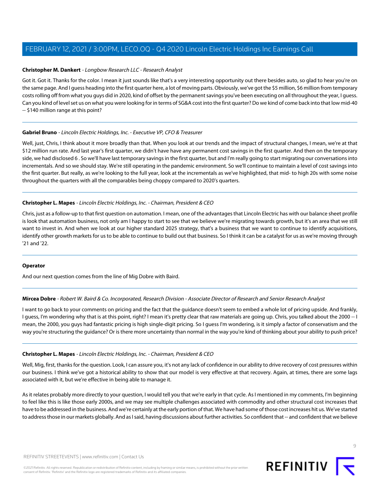#### **Christopher M. Dankert** - Longbow Research LLC - Research Analyst

Got it. Got it. Thanks for the color. I mean it just sounds like that's a very interesting opportunity out there besides auto, so glad to hear you're on the same page. And I guess heading into the first quarter here, a lot of moving parts. Obviously, we've got the \$5 million, \$6 million from temporary costs rolling off from what you guys did in 2020, kind of offset by the permanent savings you've been executing on all throughout the year, I guess. Can you kind of level set us on what you were looking for in terms of SG&A cost into the first quarter? Do we kind of come back into that low mid-40 -- \$140 million range at this point?

#### **Gabriel Bruno** - Lincoln Electric Holdings, Inc. - Executive VP, CFO & Treasurer

Well, just, Chris, I think about it more broadly than that. When you look at our trends and the impact of structural changes, I mean, we're at that \$12 million run rate. And last year's first quarter, we didn't have have any permanent cost savings in the first quarter. And then on the temporary side, we had disclosed 6 . So we'll have last temporary savings in the first quarter, but and I'm really going to start migrating our conversations into incrementals. And so we should stay. We're still operating in the pandemic environment. So we'll continue to maintain a level of cost savings into the first quarter. But really, as we're looking to the full year, look at the incrementals as we've highlighted, that mid- to high 20s with some noise throughout the quarters with all the comparables being choppy compared to 2020's quarters.

#### **Christopher L. Mapes** - Lincoln Electric Holdings, Inc. - Chairman, President & CEO

Chris, just as a follow-up to that first question on automation. I mean, one of the advantages that Lincoln Electric has with our balance sheet profile is look that automation business, not only am I happy to start to see that we believe we're migrating towards growth, but it's an area that we still want to invest in. And when we look at our higher standard 2025 strategy, that's a business that we want to continue to identify acquisitions, identify other growth markets for us to be able to continue to build out that business. So I think it can be a catalyst for us as we're moving through '21 and '22.

#### <span id="page-8-0"></span>**Operator**

And our next question comes from the line of Mig Dobre with Baird.

#### **Mircea Dobre** - Robert W. Baird & Co. Incorporated, Research Division - Associate Director of Research and Senior Research Analyst

I want to go back to your comments on pricing and the fact that the guidance doesn't seem to embed a whole lot of pricing upside. And frankly, I guess, I'm wondering why that is at this point, right? I mean it's pretty clear that raw materials are going up. Chris, you talked about the 2000 -- I mean, the 2000, you guys had fantastic pricing is high single-digit pricing. So I guess I'm wondering, is it simply a factor of conservatism and the way you're structuring the guidance? Or is there more uncertainty than normal in the way you're kind of thinking about your ability to push price?

#### **Christopher L. Mapes** - Lincoln Electric Holdings, Inc. - Chairman, President & CEO

Well, Mig, first, thanks for the question. Look, I can assure you, it's not any lack of confidence in our ability to drive recovery of cost pressures within our business. I think we've got a historical ability to show that our model is very effective at that recovery. Again, at times, there are some lags associated with it, but we're effective in being able to manage it.

As it relates probably more directly to your question, I would tell you that we're early in that cycle. As I mentioned in my comments, I'm beginning to feel like this is like those early 2000s, and we may see multiple challenges associated with commodity and other structural cost increases that have to be addressed in the business. And we're certainly at the early portion of that. We have had some of those cost increases hit us. We've started to address those in our markets globally. And as I said, having discussions about further activities. So confident that -- and confident that we believe

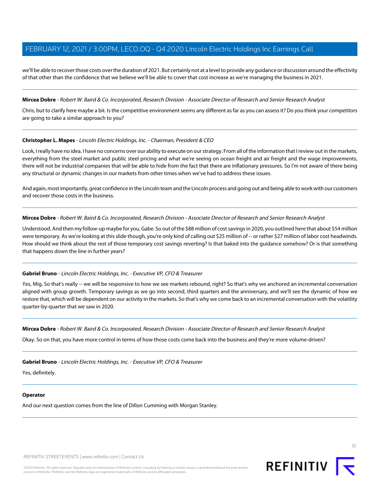we'll be able to recover those costs over the duration of 2021. But certainly not at a level to provide any guidance or discussion around the effectivity of that other than the confidence that we believe we'll be able to cover that cost increase as we're managing the business in 2021.

#### **Mircea Dobre** - Robert W. Baird & Co. Incorporated, Research Division - Associate Director of Research and Senior Research Analyst

Chris, but to clarify here maybe a bit. Is the competitive environment seems any different as far as you can assess it? Do you think your competitors are going to take a similar approach to you?

#### **Christopher L. Mapes** - Lincoln Electric Holdings, Inc. - Chairman, President & CEO

Look, I really have no idea. I have no concerns over our ability to execute on our strategy. From all of the information that I review out in the markets, everything from the steel market and public steel pricing and what we're seeing on ocean freight and air freight and the wage improvements, there will not be industrial companies that will be able to hide from the fact that there are inflationary pressures. So I'm not aware of there being any structural or dynamic changes in our markets from other times when we've had to address these issues.

And again, most importantly, great confidence in the Lincoln team and the Lincoln process and going out and being able to work with our customers and recover those costs in the business.

#### **Mircea Dobre** - Robert W. Baird & Co. Incorporated, Research Division - Associate Director of Research and Senior Research Analyst

Understood. And then my follow-up maybe for you, Gabe. So out of the \$88 million of cost savings in 2020, you outlined here that about \$54 million were temporary. As we're looking at this slide though, you're only kind of calling out \$25 million of -- or rather \$27 million of labor cost headwinds. How should we think about the rest of those temporary cost savings reverting? Is that baked into the guidance somehow? Or is that something that happens down the line in further years?

#### **Gabriel Bruno** - Lincoln Electric Holdings, Inc. - Executive VP, CFO & Treasurer

Yes, Mig. So that's really -- we will be responsive to how we see markets rebound, right? So that's why we anchored an incremental conversation aligned with group growth. Temporary savings as we go into second, third quarters and the anniversary, and we'll see the dynamic of how we restore that, which will be dependent on our activity in the markets. So that's why we come back to an incremental conversation with the volatility quarter-by-quarter that we saw in 2020.

**Mircea Dobre** - Robert W. Baird & Co. Incorporated, Research Division - Associate Director of Research and Senior Research Analyst

Okay. So on that, you have more control in terms of how those costs come back into the business and they're more volume-driven?

**Gabriel Bruno** - Lincoln Electric Holdings, Inc. - Executive VP, CFO & Treasurer

Yes, definitely.

#### **Operator**

And our next question comes from the line of Dillon Cumming with Morgan Stanley.

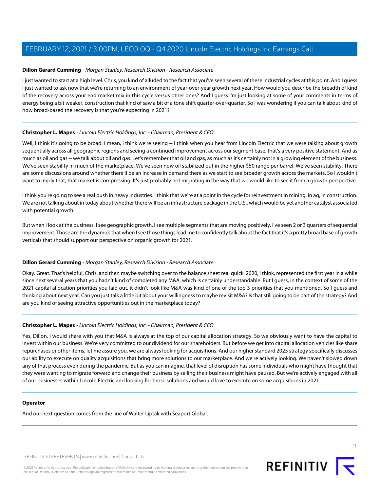#### <span id="page-10-0"></span>**Dillon Gerard Cumming** - Morgan Stanley, Research Division - Research Associate

I just wanted to start at a high level. Chris, you kind of alluded to the fact that you've seen several of these industrial cycles at this point. And I guess I just wanted to ask now that we're returning to an environment of year-over-year growth next year. How would you describe the breadth of kind of the recovery across your end market mix in this cycle versus other ones? And I guess I'm just looking at some of your comments in terms of energy being a bit weaker, construction that kind of saw a bit of a tone shift quarter-over-quarter. So I was wondering if you can talk about kind of how broad-based the recovery is that you're expecting in 2021?

#### **Christopher L. Mapes** - Lincoln Electric Holdings, Inc. - Chairman, President & CEO

Well, I think it's going to be broad. I mean, I think we're seeing -- I think when you hear from Lincoln Electric that we were talking about growth sequentially across all geographic regions and seeing a continued improvement across our segment base, that's a very positive statement. And as much as oil and gas -- we talk about oil and gas. Let's remember that oil and gas, as much as it's certainly not in a growing element of the business. We've seen stability in much of the marketplace. We've seen now oil stabilized out in the higher \$50 range per barrel. We've seen stability. There are some discussions around whether there'll be an increase in demand there as we start to see broader growth across the markets. So I wouldn't want to imply that, that market is compressing. It's just probably not migrating in the way that we would like to see it from a growth perspective.

I think you're going to see a real push in heavy industries. I think that we're at a point in the cycle for reinvestment in mining, in ag, in construction. We are not talking about in today about whether there will be an infrastructure package in the U.S., which would be yet another catalyst associated with potential growth.

But when I look at the business, I see geographic growth. I see multiple segments that are moving positively. I've seen 2 or 3 quarters of sequential improvement. Those are the dynamics that when I see those things lead me to confidently talk about the fact that it's a pretty broad base of growth verticals that should support our perspective on organic growth for 2021.

#### **Dillon Gerard Cumming** - Morgan Stanley, Research Division - Research Associate

Okay. Great. That's helpful, Chris. and then maybe switching over to the balance sheet real quick. 2020, I think, represented the first year in a while since next several years that you hadn't kind of completed any M&A, which is certainly understandable. But I guess, in the context of some of the 2021 capital allocation priorities you laid out, it didn't look like M&A was kind of one of the top 3 priorities that you mentioned. So I guess and thinking about next year. Can you just talk a little bit about your willingness to maybe revisit M&A? Is that still going to be part of the strategy? And are you kind of seeing attractive opportunities out in the marketplace today?

#### **Christopher L. Mapes** - Lincoln Electric Holdings, Inc. - Chairman, President & CEO

Yes, Dillon, I would share with you that M&A is always at the top of our capital allocation strategy. So we obviously want to have the capital to invest within our business. We're very committed to our dividend for our shareholders. But before we get into capital allocation vehicles like share repurchases or other items, let me assure you, we are always looking for acquisitions. And our higher standard 2025 strategy specifically discusses our ability to execute on quality acquisitions that bring more solutions to our marketplace. And we're actively looking. We haven't slowed down any of that process even during the pandemic. But as you can imagine, that level of disruption has some individuals who might have thought that they were wanting to migrate forward and change their business by selling their business might have paused. But we're actively engaged with all of our businesses within Lincoln Electric and looking for those solutions and would love to execute on some acquisitions in 2021.

#### **Operator**

And our next question comes from the line of Walter Liptak with Seaport Global.

REFINITIV STREETEVENTS | [www.refinitiv.com](https://www.refinitiv.com/) | [Contact Us](https://www.refinitiv.com/en/contact-us)

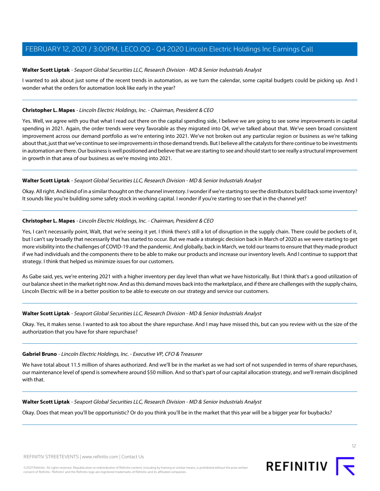#### <span id="page-11-0"></span>**Walter Scott Liptak** - Seaport Global Securities LLC, Research Division - MD & Senior Industrials Analyst

I wanted to ask about just some of the recent trends in automation, as we turn the calendar, some capital budgets could be picking up. And I wonder what the orders for automation look like early in the year?

#### **Christopher L. Mapes** - Lincoln Electric Holdings, Inc. - Chairman, President & CEO

Yes. Well, we agree with you that what I read out there on the capital spending side, I believe we are going to see some improvements in capital spending in 2021. Again, the order trends were very favorable as they migrated into Q4, we've talked about that. We've seen broad consistent improvement across our demand portfolio as we're entering into 2021. We've not broken out any particular region or business as we're talking about that, just that we've continue to see improvements in those demand trends. But I believe all the catalysts for there continue to be investments in automation are there. Our business is well positioned and believe that we are starting to see and should start to see really a structural improvement in growth in that area of our business as we're moving into 2021.

#### **Walter Scott Liptak** - Seaport Global Securities LLC, Research Division - MD & Senior Industrials Analyst

Okay. All right. And kind of in a similar thought on the channel inventory. I wonder if we're starting to see the distributors build back some inventory? It sounds like you're building some safety stock in working capital. I wonder if you're starting to see that in the channel yet?

#### **Christopher L. Mapes** - Lincoln Electric Holdings, Inc. - Chairman, President & CEO

Yes, I can't necessarily point, Walt, that we're seeing it yet. I think there's still a lot of disruption in the supply chain. There could be pockets of it, but I can't say broadly that necessarily that has started to occur. But we made a strategic decision back in March of 2020 as we were starting to get more visibility into the challenges of COVID-19 and the pandemic. And globally, back in March, we told our teams to ensure that they made product if we had individuals and the components there to be able to make our products and increase our inventory levels. And I continue to support that strategy. I think that helped us minimize issues for our customers.

As Gabe said, yes, we're entering 2021 with a higher inventory per day level than what we have historically. But I think that's a good utilization of our balance sheet in the market right now. And as this demand moves back into the marketplace, and if there are challenges with the supply chains, Lincoln Electric will be in a better position to be able to execute on our strategy and service our customers.

#### **Walter Scott Liptak** - Seaport Global Securities LLC, Research Division - MD & Senior Industrials Analyst

Okay. Yes, it makes sense. I wanted to ask too about the share repurchase. And I may have missed this, but can you review with us the size of the authorization that you have for share repurchase?

#### **Gabriel Bruno** - Lincoln Electric Holdings, Inc. - Executive VP, CFO & Treasurer

We have total about 11.5 million of shares authorized. And we'll be in the market as we had sort of not suspended in terms of share repurchases, our maintenance level of spend is somewhere around \$50 million. And so that's part of our capital allocation strategy, and we'll remain disciplined with that.

#### **Walter Scott Liptak** - Seaport Global Securities LLC, Research Division - MD & Senior Industrials Analyst

Okay. Does that mean you'll be opportunistic? Or do you think you'll be in the market that this year will be a bigger year for buybacks?

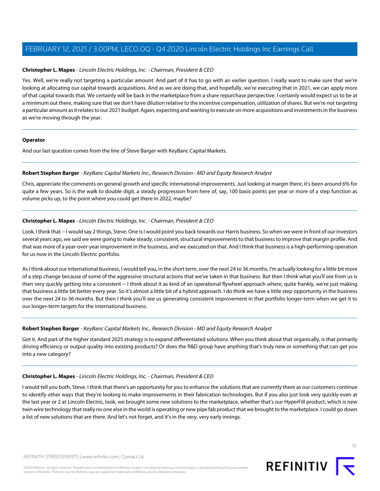#### **Christopher L. Mapes** - Lincoln Electric Holdings, Inc. - Chairman, President & CEO

Yes. Well, we're really not targeting a particular amount. And part of it has to go with an earlier question. I really want to make sure that we're looking at allocating our capital towards acquisitions. And as we are doing that, and hopefully, we're executing that in 2021, we can apply more of that capital towards that. We certainly will be back in the marketplace from a share repurchase perspective. I certainly would expect us to be at a minimum out there, making sure that we don't have dilution relative to the incentive compensation, utilization of shares. But we're not targeting a particular amount as it relates to our 2021 budget. Again, expecting and wanting to execute on more acquisitions and investments in the business as we're moving through the year.

#### **Operator**

<span id="page-12-0"></span>And our last question comes from the line of Steve Barger with KeyBanc Capital Markets.

#### **Robert Stephen Barger** - KeyBanc Capital Markets Inc., Research Division - MD and Equity Research Analyst

Chris, appreciate the comments on general growth and specific international improvements. Just looking at margin there, it's been around 6% for quite a few years. So is the walk to double digit, a steady progression from here of, say, 100 basis points per year or more of a step function as volume picks up, to the point where you could get there in 2022, maybe?

#### **Christopher L. Mapes** - Lincoln Electric Holdings, Inc. - Chairman, President & CEO

Look, I think that -- I would say 2 things, Steve. One is I would point you back towards our Harris business. So when we were in front of our investors several years ago, we said we were going to make steady, consistent, structural improvements to that business to improve that margin profile. And that was more of a year-over-year improvement in the business, and we executed on that. And I think that business is a high-performing operation for us now in the Lincoln Electric portfolio.

As I think about our international business, I would tell you, in the short term, over the next 24 to 36 months, I'm actually looking for a little bit more of a step change because of some of the aggressive structural actions that we've taken in that business. But then I think what you'll see from us is then very quickly getting into a consistent -- I think about it as kind of an operational flywheel approach where, quite frankly, we're just making that business a little bit better every year. So it's almost a little bit of a hybrid approach. I do think we have a little step opportunity in the business over the next 24 to 36 months. But then I think you'll see us generating consistent improvement in that portfolio longer-term when we get it to our longer-term targets for the international business.

#### **Robert Stephen Barger** - KeyBanc Capital Markets Inc., Research Division - MD and Equity Research Analyst

Got it. And part of the higher standard 2025 strategy is to expand differentiated solutions. When you think about that organically, is that primarily driving efficiency or output quality into existing products? Or does the R&D group have anything that's truly new or something that can get you into a new category?

#### **Christopher L. Mapes** - Lincoln Electric Holdings, Inc. - Chairman, President & CEO

I would tell you both, Steve. I think that there's an opportunity for you to enhance the solutions that are currently there as our customers continue to identify other ways that they're looking to make improvements in their fabrication technologies. But if you also just look very quickly even at the last year or 2 at Lincoln Electric, look, we brought some new solutions to the marketplace, whether that's our HyperFill product, which is new twin wire technology that really no one else in the world is operating or new pipe fab product that we brought to the marketplace. I could go down a list of new solutions that are there. And let's not forget, and it's in the very, very early innings.

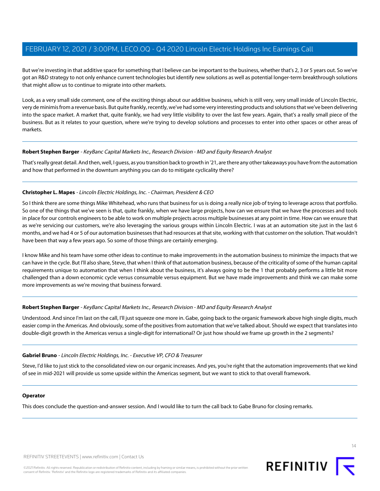But we're investing in that additive space for something that I believe can be important to the business, whether that's 2, 3 or 5 years out. So we've got an R&D strategy to not only enhance current technologies but identify new solutions as well as potential longer-term breakthrough solutions that might allow us to continue to migrate into other markets.

Look, as a very small side comment, one of the exciting things about our additive business, which is still very, very small inside of Lincoln Electric, very de minimis from a revenue basis. But quite frankly, recently, we've had some very interesting products and solutions that we've been delivering into the space market. A market that, quite frankly, we had very little visibility to over the last few years. Again, that's a really small piece of the business. But as it relates to your question, where we're trying to develop solutions and processes to enter into other spaces or other areas of markets.

#### **Robert Stephen Barger** - KeyBanc Capital Markets Inc., Research Division - MD and Equity Research Analyst

That's really great detail. And then, well, I guess, as you transition back to growth in '21, are there any other takeaways you have from the automation and how that performed in the downturn anything you can do to mitigate cyclicality there?

#### **Christopher L. Mapes** - Lincoln Electric Holdings, Inc. - Chairman, President & CEO

So I think there are some things Mike Whitehead, who runs that business for us is doing a really nice job of trying to leverage across that portfolio. So one of the things that we've seen is that, quite frankly, when we have large projects, how can we ensure that we have the processes and tools in place for our controls engineers to be able to work on multiple projects across multiple businesses at any point in time. How can we ensure that as we're servicing our customers, we're also leveraging the various groups within Lincoln Electric. I was at an automation site just in the last 6 months, and we had 4 or 5 of our automation businesses that had resources at that site, working with that customer on the solution. That wouldn't have been that way a few years ago. So some of those things are certainly emerging.

I know Mike and his team have some other ideas to continue to make improvements in the automation business to minimize the impacts that we can have in the cycle. But I'll also share, Steve, that when I think of that automation business, because of the criticality of some of the human capital requirements unique to automation that when I think about the business, it's always going to be the 1 that probably performs a little bit more challenged than a down economic cycle versus consumable versus equipment. But we have made improvements and think we can make some more improvements as we're moving that business forward.

#### **Robert Stephen Barger** - KeyBanc Capital Markets Inc., Research Division - MD and Equity Research Analyst

Understood. And since I'm last on the call, I'll just squeeze one more in. Gabe, going back to the organic framework above high single digits, much easier comp in the Americas. And obviously, some of the positives from automation that we've talked about. Should we expect that translates into double-digit growth in the Americas versus a single-digit for international? Or just how should we frame up growth in the 2 segments?

#### **Gabriel Bruno** - Lincoln Electric Holdings, Inc. - Executive VP, CFO & Treasurer

Steve, I'd like to just stick to the consolidated view on our organic increases. And yes, you're right that the automation improvements that we kind of see in mid-2021 will provide us some upside within the Americas segment, but we want to stick to that overall framework.

#### **Operator**

This does conclude the question-and-answer session. And I would like to turn the call back to Gabe Bruno for closing remarks.